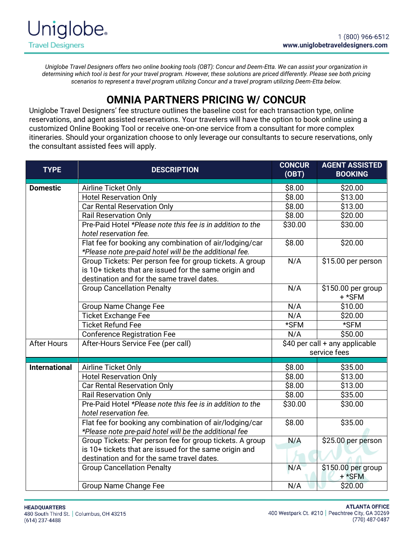*Uniglobe Travel Designers offers two online booking tools (OBT): Concur and Deem-Etta. We can assist your organization in determining which tool is best for your travel program. However, these solutions are priced differently. Please see both pricing scenarios to represent a travel program utilizing Concur and a travel program utilizing Deem-Etta below.*

## **OMNIA PARTNERS PRICING W/ CONCUR**

Uniglobe Travel Designers' fee structure outlines the baseline cost for each transaction type, online reservations, and agent assisted reservations. Your travelers will have the option to book online using a customized Online Booking Tool or receive one-on-one service from a consultant for more complex itineraries. Should your organization choose to only leverage our consultants to secure reservations, only the consultant assisted fees will apply.

| <b>TYPE</b>          | <b>DESCRIPTION</b>                                                                                                                                               | <b>CONCUR</b><br>(OBT)                         | <b>AGENT ASSISTED</b><br><b>BOOKING</b> |
|----------------------|------------------------------------------------------------------------------------------------------------------------------------------------------------------|------------------------------------------------|-----------------------------------------|
| <b>Domestic</b>      | Airline Ticket Only                                                                                                                                              | \$8.00                                         | \$20.00                                 |
|                      | <b>Hotel Reservation Only</b>                                                                                                                                    | \$8.00                                         | \$13.00                                 |
|                      | <b>Car Rental Reservation Only</b>                                                                                                                               | \$8.00                                         | \$13.00                                 |
|                      | <b>Rail Reservation Only</b>                                                                                                                                     | \$8.00                                         | \$20.00                                 |
|                      | Pre-Paid Hotel *Please note this fee is in addition to the<br>hotel reservation fee.                                                                             | \$30.00                                        | \$30.00                                 |
|                      | Flat fee for booking any combination of air/lodging/car<br>*Please note pre-paid hotel will be the additional fee.                                               | \$8.00                                         | \$20.00                                 |
|                      | Group Tickets: Per person fee for group tickets. A group<br>is 10+ tickets that are issued for the same origin and<br>destination and for the same travel dates. | N/A                                            | \$15.00 per person                      |
|                      | <b>Group Cancellation Penalty</b>                                                                                                                                | N/A                                            | \$150.00 per group<br>$+ *$ SFM         |
|                      | <b>Group Name Change Fee</b>                                                                                                                                     | N/A                                            | \$10.00                                 |
|                      | <b>Ticket Exchange Fee</b>                                                                                                                                       | N/A                                            | \$20.00                                 |
|                      | <b>Ticket Refund Fee</b>                                                                                                                                         | *SFM                                           | *SFM                                    |
|                      | <b>Conference Registration Fee</b>                                                                                                                               | N/A                                            | \$50.00                                 |
| <b>After Hours</b>   | After-Hours Service Fee (per call)                                                                                                                               | \$40 per call + any applicable<br>service fees |                                         |
| <b>International</b> | Airline Ticket Only                                                                                                                                              | \$8.00                                         | \$35.00                                 |
|                      | Hotel Reservation Only                                                                                                                                           | \$8.00                                         | \$13.00                                 |
|                      | <b>Car Rental Reservation Only</b>                                                                                                                               | \$8.00                                         | \$13.00                                 |
|                      | <b>Rail Reservation Only</b>                                                                                                                                     | \$8.00                                         | \$35.00                                 |
|                      | Pre-Paid Hotel *Please note this fee is in addition to the<br>hotel reservation fee.                                                                             | \$30.00                                        | \$30.00                                 |
|                      | Flat fee for booking any combination of air/lodging/car<br>*Please note pre-paid hotel will be the additional fee                                                | \$8.00                                         | \$35.00                                 |
|                      | Group Tickets: Per person fee for group tickets. A group<br>is 10+ tickets that are issued for the same origin and<br>destination and for the same travel dates. | N/A                                            | \$25.00 per person                      |
|                      | <b>Group Cancellation Penalty</b>                                                                                                                                | N/A                                            | \$150.00 per group<br>+ *SFM            |
|                      | Group Name Change Fee                                                                                                                                            | N/A                                            | \$20.00                                 |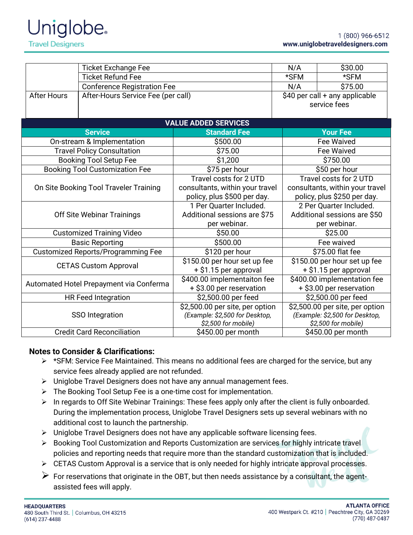| <b>Ticket Exchange Fee</b>                |                                    |                                 | N/A                             | \$30.00                         |  |  |
|-------------------------------------------|------------------------------------|---------------------------------|---------------------------------|---------------------------------|--|--|
| <b>Ticket Refund Fee</b>                  |                                    |                                 | *SFM                            | *SFM                            |  |  |
|                                           | <b>Conference Registration Fee</b> |                                 | N/A                             | \$75.00                         |  |  |
| <b>After Hours</b>                        | After-Hours Service Fee (per call) |                                 |                                 | \$40 per call + any applicable  |  |  |
|                                           |                                    |                                 | service fees                    |                                 |  |  |
|                                           |                                    |                                 |                                 |                                 |  |  |
| <b>VALUE ADDED SERVICES</b>               |                                    |                                 |                                 |                                 |  |  |
|                                           | <b>Service</b>                     | <b>Standard Fee</b>             |                                 | <b>Your Fee</b>                 |  |  |
|                                           | On-stream & Implementation         | \$500.00                        |                                 | <b>Fee Waived</b>               |  |  |
| <b>Travel Policy Consultation</b>         |                                    | \$75.00                         | Fee Waived                      |                                 |  |  |
| <b>Booking Tool Setup Fee</b>             |                                    | \$1,200                         | \$750.00                        |                                 |  |  |
| <b>Booking Tool Customization Fee</b>     |                                    | \$75 per hour                   |                                 | \$50 per hour                   |  |  |
| On Site Booking Tool Traveler Training    |                                    | Travel costs for 2 UTD          |                                 | Travel costs for 2 UTD          |  |  |
|                                           |                                    | consultants, within your travel | consultants, within your travel |                                 |  |  |
|                                           |                                    | policy, plus \$500 per day.     |                                 | policy, plus \$250 per day.     |  |  |
| Off Site Webinar Trainings                |                                    | 1 Per Quarter Included.         |                                 | 2 Per Quarter Included.         |  |  |
|                                           |                                    | Additional sessions are \$75    |                                 | Additional sessions are \$50    |  |  |
|                                           |                                    | per webinar.                    | per webinar.                    |                                 |  |  |
| <b>Customized Training Video</b>          |                                    | \$50.00                         | \$25.00                         |                                 |  |  |
| <b>Basic Reporting</b>                    |                                    | \$500.00                        |                                 | Fee waived                      |  |  |
| <b>Customized Reports/Programming Fee</b> |                                    | \$120 per hour                  |                                 | \$75.00 flat fee                |  |  |
| <b>CETAS Custom Approval</b>              |                                    | \$150.00 per hour set up fee    |                                 | \$150.00 per hour set up fee    |  |  |
|                                           |                                    | + \$1.15 per approval           |                                 | + \$1.15 per approval           |  |  |
| Automated Hotel Prepayment via Conferma   |                                    | \$400.00 implementaiton fee     |                                 | \$400.00 implementation fee     |  |  |
|                                           |                                    | + \$3.00 per reservation        |                                 | + \$3.00 per reservation        |  |  |
| <b>HR Feed Integration</b>                |                                    | \$2,500.00 per feed             |                                 | \$2,500.00 per feed             |  |  |
| SSO Integration                           |                                    | \$2,500.00 per site, per option |                                 | \$2,500.00 per site, per option |  |  |
|                                           |                                    | (Example: \$2,500 for Desktop,  |                                 | (Example: \$2,500 for Desktop,  |  |  |
|                                           |                                    | \$2,500 for mobile)             |                                 | \$2,500 for mobile)             |  |  |
| <b>Credit Card Reconciliation</b>         |                                    | \$450.00 per month              | \$450.00 per month              |                                 |  |  |

## **Notes to Consider & Clarifications:**

- $\triangleright$  \*SFM: Service Fee Maintained. This means no additional fees are charged for the service, but any service fees already applied are not refunded.
- ➢ Uniglobe Travel Designers does not have any annual management fees.
- ➢ The Booking Tool Setup Fee is a one-time cost for implementation.
- ➢ In regards to Off Site Webinar Trainings: These fees apply only after the client is fully onboarded. During the implementation process, Uniglobe Travel Designers sets up several webinars with no additional cost to launch the partnership.
- ➢ Uniglobe Travel Designers does not have any applicable software licensing fees.
- ➢ Booking Tool Customization and Reports Customization are services for highly intricate travel policies and reporting needs that require more than the standard customization that is included.
- ➢ CETAS Custom Approval is a service that is only needed for highly intricate approval processes.
- $\triangleright$  For reservations that originate in the OBT, but then needs assistance by a consultant, the agentassisted fees will apply.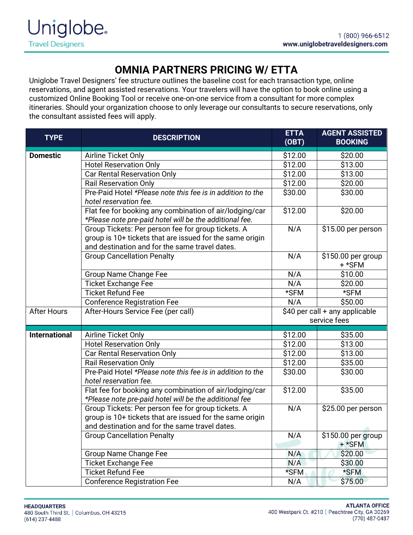## **OMNIA PARTNERS PRICING W/ ETTA**

Uniglobe Travel Designers' fee structure outlines the baseline cost for each transaction type, online reservations, and agent assisted reservations. Your travelers will have the option to book online using a customized Online Booking Tool or receive one-on-one service from a consultant for more complex itineraries. Should your organization choose to only leverage our consultants to secure reservations, only the consultant assisted fees will apply.

| <b>TYPE</b>                       | <b>DESCRIPTION</b>                                                                                                                                                                                         | <b>ETTA</b><br>(OBT)           | <b>AGENT ASSISTED</b><br><b>BOOKING</b> |
|-----------------------------------|------------------------------------------------------------------------------------------------------------------------------------------------------------------------------------------------------------|--------------------------------|-----------------------------------------|
| <b>Domestic</b>                   | Airline Ticket Only                                                                                                                                                                                        | \$12.00                        | $\overline{$}20.00$                     |
|                                   | <b>Hotel Reservation Only</b>                                                                                                                                                                              | \$12.00                        | \$13.00                                 |
|                                   | <b>Car Rental Reservation Only</b>                                                                                                                                                                         |                                | \$13.00                                 |
|                                   | <b>Rail Reservation Only</b>                                                                                                                                                                               | \$12.00                        | \$20.00                                 |
|                                   | Pre-Paid Hotel *Please note this fee is in addition to the<br>hotel reservation fee.<br>Flat fee for booking any combination of air/lodging/car<br>*Please note pre-paid hotel will be the additional fee. |                                | \$30.00                                 |
|                                   |                                                                                                                                                                                                            |                                | \$20.00                                 |
|                                   | Group Tickets: Per person fee for group tickets. A<br>group is 10+ tickets that are issued for the same origin<br>and destination and for the same travel dates.                                           | N/A                            | \$15.00 per person                      |
|                                   | <b>Group Cancellation Penalty</b>                                                                                                                                                                          | N/A                            | \$150.00 per group<br>+ *SFM            |
|                                   | Group Name Change Fee                                                                                                                                                                                      | N/A                            | \$10.00                                 |
|                                   | <b>Ticket Exchange Fee</b>                                                                                                                                                                                 | N/A                            | \$20.00                                 |
|                                   | <b>Ticket Refund Fee</b>                                                                                                                                                                                   | *SFM                           | *SFM                                    |
|                                   | <b>Conference Registration Fee</b>                                                                                                                                                                         | N/A                            | \$50.00                                 |
| <b>After Hours</b>                | After-Hours Service Fee (per call)                                                                                                                                                                         | \$40 per call + any applicable |                                         |
|                                   |                                                                                                                                                                                                            | service fees                   |                                         |
| <b>International</b>              | Airline Ticket Only                                                                                                                                                                                        | \$12.00                        | \$35.00                                 |
|                                   | Hotel Reservation Only                                                                                                                                                                                     | \$12.00                        | \$13.00                                 |
|                                   | <b>Car Rental Reservation Only</b>                                                                                                                                                                         | \$12.00                        | \$13.00                                 |
|                                   | <b>Rail Reservation Only</b>                                                                                                                                                                               | \$12.00                        | \$35.00                                 |
|                                   | Pre-Paid Hotel *Please note this fee is in addition to the<br>hotel reservation fee.                                                                                                                       | \$30.00                        | \$30.00                                 |
|                                   | Flat fee for booking any combination of air/lodging/car<br>*Please note pre-paid hotel will be the additional fee                                                                                          | $\overline{$}12.00$            | \$35.00                                 |
|                                   | Group Tickets: Per person fee for group tickets. A<br>group is 10+ tickets that are issued for the same origin<br>and destination and for the same travel dates.                                           | N/A                            | \$25.00 per person                      |
| <b>Group Cancellation Penalty</b> |                                                                                                                                                                                                            | N/A                            | \$150.00 per group<br>+ *SFM            |
|                                   | Group Name Change Fee                                                                                                                                                                                      |                                | \$20.00                                 |
|                                   | <b>Ticket Exchange Fee</b>                                                                                                                                                                                 | N/A                            | \$30.00                                 |
|                                   | <b>Ticket Refund Fee</b>                                                                                                                                                                                   | *SFM                           | *SFM                                    |
|                                   | <b>Conference Registration Fee</b>                                                                                                                                                                         | N/A                            | \$75.00                                 |